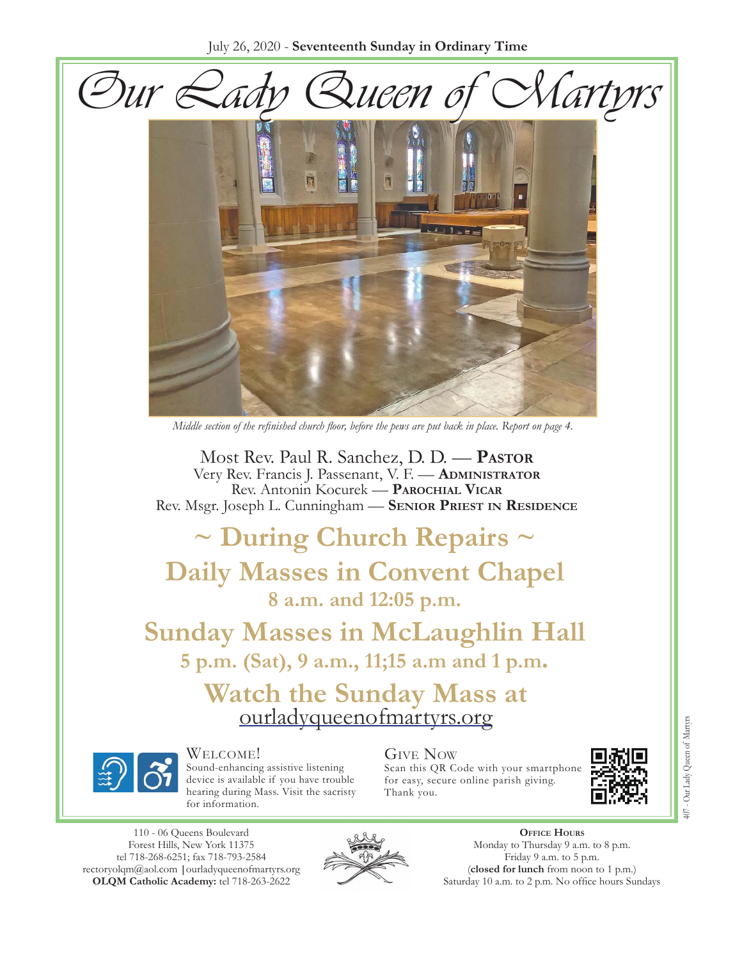July 26, 2020 - **Seventeenth Sunday in Ordinary Time**





*Middle section of the refinished church floor, before the pews are put back in place. Report on page 4.*

Most Rev. Paul R. Sanchez, D. D. — **Pastor** Very Rev. Francis J. Passenant, V. F. — **Administrator** Rev. Antonin Kocurek — **Parochial Vicar** Rev. Msgr. Joseph L. Cunningham — **Senior Priest in Residence**

# **~ During Church Repairs ~ Daily Masses in Convent Chapel 8 a.m. and 12:05 p.m.**

**Sunday Masses in McLaughlin Hall 5 p.m. (Sat), 9 a.m., 11;15 a.m and 1 p.m.**

Watch the Sunday Mass at [ourladyqueenofmartyrs.org](https://ourladyqueenofmartyrs.org/)



#### Welcome!

Sound-enhancing assistive listening device is available if you have trouble hearing during Mass. Visit the sacristy for information.

### Give Now

Scan this QR Code with your smartphone for easy, secure online parish giving. Thank you.



110 - 06 Queens Boulevard Forest Hills, New York 11375 [tel 718-268-625](mailto:rectoryolqm@aol.com)[1; fax 718-793-2584](www.ourladyqueenofmartyrs.org) rectoryolqm@aol.com **|**ourladyqueenofmartyrs.org **OLQM Catholic Academy:** tel 718-263-2622



**Office Hours** Monday to Thursday 9 a.m. to 8 p.m. Friday 9 a.m. to 5 p.m. (**closed for lunch** from noon to 1 p.m.) Saturday 10 a.m. to 2 p.m. No office hours Sundays 407 - Our Lady Queen of Martyrs 407 - Our Lady Queen of Martyrs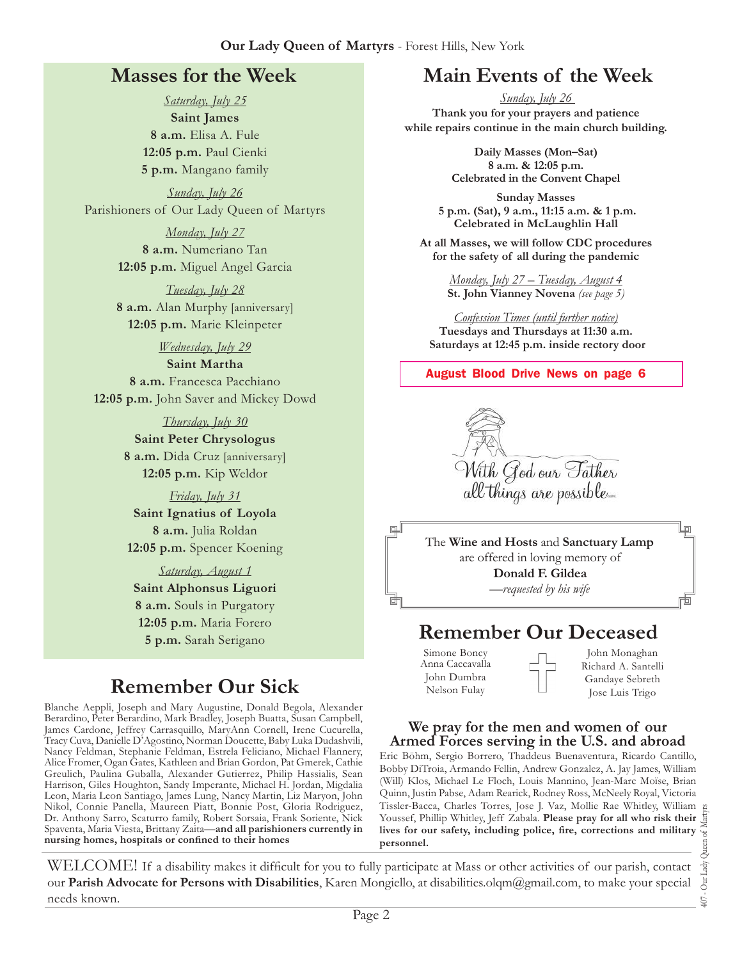### **Masses for the Week**

*Saturday, July 25* **Saint James 8 a.m.** Elisa A. Fule **12:05 p.m.** Paul Cienki **5 p.m.** Mangano family

*Sunday, July 26* Parishioners of Our Lady Queen of Martyrs

> *Monday, July 27* **8 a.m.** Numeriano Tan **12:05 p.m.** Miguel Angel Garcia

> *Tuesday, July 28* **8 a.m.** Alan Murphy [anniversary] **12:05 p.m.** Marie Kleinpeter

> > *Wednesday, July 29*

**Saint Martha 8 a.m.** Francesca Pacchiano **12:05 p.m.** John Saver and Mickey Dowd

> *Thursday, July 30* **Saint Peter Chrysologus 8 a.m.** Dida Cruz [anniversary] **12:05 p.m.** Kip Weldor

*Friday, July 31* **Saint Ignatius of Loyola 8 a.m.** Julia Roldan **12:05 p.m.** Spencer Koening

*Saturday, August 1* **Saint Alphonsus Liguori 8 a.m.** Souls in Purgatory **12:05 p.m.** Maria Forero

# **Remember Our Sick**

Blanche Aeppli, Joseph and Mary Augustine, Donald Begola, Alexander Berardino, Peter Berardino, Mark Bradley, Joseph Buatta, Susan Campbell, James Cardone, Jeffrey Carrasquillo, MaryAnn Cornell, Irene Cucurella, Tracy Cuva, Danielle D'Agostino, Norman Doucette, Baby Luka Dudashvili, Nancy Feldman, Stephanie Feldman, Estrela Feliciano, Michael Flannery, Alice Fromer, Ogan Gates, Kathleen and Brian Gordon, Pat Gmerek, Cathie Greulich, Paulina Guballa, Alexander Gutierrez, Philip Hassialis, Sean Harrison, Giles Houghton, Sandy Imperante, Michael H. Jordan, Migdalia Leon, Maria Leon Santiago, James Lung, Nancy Martin, Liz Maryon, John Nikol, Connie Panella, Maureen Piatt, Bonnie Post, Gloria Rodriguez, Dr. Anthony Sarro, Scaturro family, Robert Sorsaia, Frank Soriente, Nick Spaventa, Maria Viesta, Brittany Zaita—**and all parishioners currently in nursing homes, hospitals or confined to their homes**

## **Main Events of the Week**

*Sunday, July 26*  **Thank you for your prayers and patience while repairs continue in the main church building.**

> **Daily Masses (Mon–Sat) 8 a.m. & 12:05 p.m. Celebrated in the Convent Chapel**

**Sunday Masses 5 p.m. (Sat), 9 a.m., 11:15 a.m. & 1 p.m. Celebrated in McLaughlin Hall**

**At all Masses, we will follow CDC procedures for the safety of all during the pandemic**

> *Monday, July 27 – Tuesday, August 4* **St. John Vianney Novena** *(see page 5)*

*Confession Times (until further notice)* **Tuesdays and Thursdays at 11:30 a.m. Saturdays at 12:45 p.m. inside rectory door**

**August Blood Drive News on page 6**



The **Wine and Hosts** and **Sanctuary Lamp**  are offered in loving memory of **Donald F. Gildea** *—requested by his wife*

## **5 p.m.** Sarah Serigano **Remember Our Deceased**

Simone Boncy Anna Caccavalla John Dumbra Nelson Fulay

John Monaghan Richard A. Santelli Gandaye Sebreth Jose Luis Trigo

#### **We pray for the men and women of our Armed Forces serving in the U.S. and abroad**

Eric Böhm, Sergio Borrero, Thaddeus Buenaventura, Ricardo Cantillo, Bobby DiTroia, Armando Fellin, Andrew Gonzalez, A. Jay James, William (Will) Klos, Michael Le Floch, Louis Mannino, Jean-Marc Moïse, Brian Quinn, Justin Pabse, Adam Rearick, Rodney Ross, McNeely Royal, Victoria Tissler-Bacca, Charles Torres, Jose J. Vaz, Mollie Rae Whitley, William Youssef, Phillip Whitley, Jeff Zabala. **Please pray for all who risk their lives for our safety, including police, fire, corrections and military personnel.**

407 - Our Lady Queen of Martyrs Our Lady  $\overline{407}$ .

峘

而

WELCOME! If a disability makes it difficult for you to fully participate at Mass or other activities of our parish, contact our **Parish Advocate for Persons with Disabilities**, Karen Mongiello, at [disabilities.olqm@gmail.com](mailto:disabilities.olqm@gmail.com), to make your special needs known.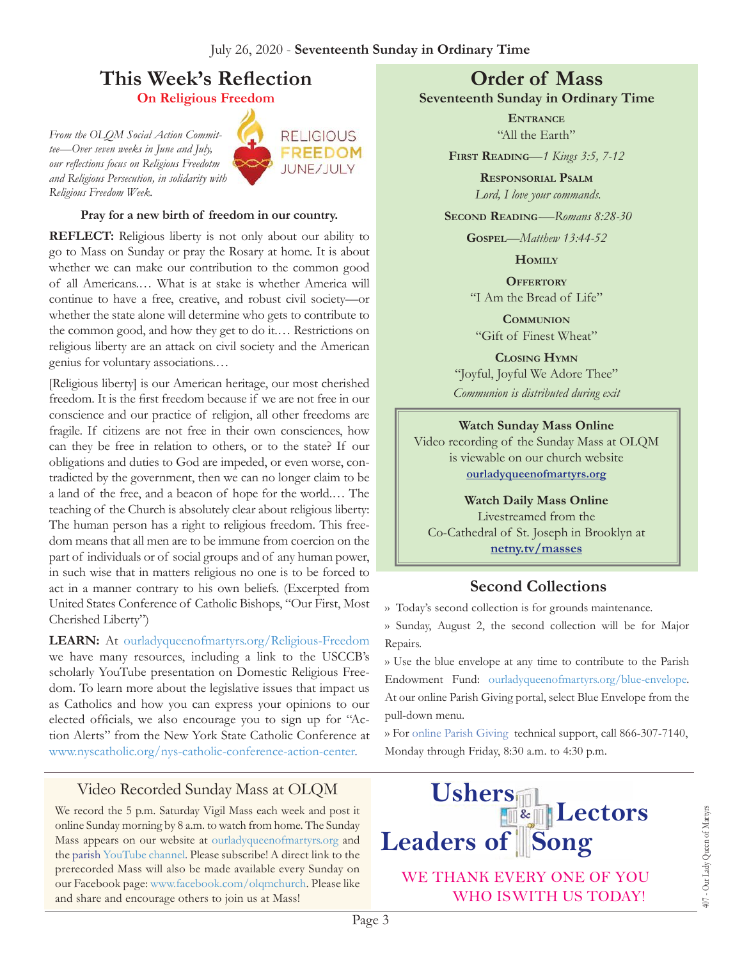# **This Week's Reflection**

**On Religious Freedom** 

*From the OLQM Social Action Committee—Over seven weeks in June and July, our reflections focus on Religious Freedotm and Religious Persecution, in solidarity with Religious Freedom Week.*



#### **Pray for a new birth of freedom in our country.**

**REFLECT:** Religious liberty is not only about our ability to go to Mass on Sunday or pray the Rosary at home. It is about whether we can make our contribution to the common good of all Americans.… What is at stake is whether America will continue to have a free, creative, and robust civil society—or whether the state alone will determine who gets to contribute to the common good, and how they get to do it.… Restrictions on religious liberty are an attack on civil society and the American genius for voluntary associations.…

[Religious liberty] is our American heritage, our most cherished freedom. It is the first freedom because if we are not free in our conscience and our practice of religion, all other freedoms are fragile. If citizens are not free in their own consciences, how can they be free in relation to others, or to the state? If our obligations and duties to God are impeded, or even worse, contradicted by the government, then we can no longer claim to be a land of the free, and a beacon of hope for the world.… The teaching of the Church is absolutely clear about religious liberty: The human person has a right to religious freedom. This freedom means that all men are to be immune from coercion on the part of individuals or of social groups and of any human power, in such wise that in matters religious no one is to be forced to act in a manner contrary to his own beliefs. (Excerpted from United States Conference of Catholic Bishops, "Our First, Most Cherished Liberty")

**LEARN:** At [ourladyqueenofmartyrs.org/Religious-Freedom](https://ourladyqueenofmartyrs.org/religious-freedom/) we have many resources, including a link to the USCCB's scholarly YouTube presentation on Domestic Religious Freedom. To learn more about the legislative issues that impact us as Catholics and how you can express your opinions to our elected officials, we also encourage you to sign up for "Action Alerts" from the New York State Catholic Conference at [www.nyscatholic.org/nys-catholic-conference-action-center.](https://www.nyscatholic.org/nys-catholic-conference-action-center)

### Video Recorded Sunday Mass at OLQM

We record the 5 p.m. Saturday Vigil Mass each week and post it online Sunday morning by 8 a.m. to watch from home. The Sunday Mass appears on our website at [ourladyqueenofmartyrs.org](https://ourladyqueenofmartyrs.org/) and the [parish YouTube channel.](https://www.youtube.com/user/OLQMStewardship/videos?view=0&sort=dd&shelf_id=2) Please subscribe! A direct link to the prerecorded Mass will also be made available every Sunday on our Facebook page: [www.facebook.com/olqmchurch.](https://www.facebook.com/OLQMChurch/) Please like and share and encourage others to join us at Mass!

### **Order of Mass Seventeenth Sunday in Ordinary Time**

**Entrance** "All the Earth"

**First Reading***—1 Kings 3:5, 7-12* 

**Responsorial Psalm** *Lord, I love your commands.*

**Second Reading***-—Romans 8:28-30* 

**Gospel***—Matthew 13:44-52* 

**Homily**

**Offertory** "I Am the Bread of Life"

**Communion** "Gift of Finest Wheat"

**Closing Hymn** "Joyful, Joyful We Adore Thee" *Communion is distributed during exit* 

### **Watch Sunday Mass Online**

Video recording of the Sunday Mass at OLQM is viewable on our church website **[ourladyqueenofmartyrs.org](https://ourladyqueenofmartyrs.org)**

#### **Watch Daily Mass Online**

Livestreamed from the Co-Cathedral of St. Joseph in Brooklyn at **[netny.tv/masses](https://netny.tv/masses/)**

### **Second Collections**

›› Today's second collection is for grounds maintenance.

›› Sunday, August 2, the second collection will be for Major Repairs.

›› Use the blue envelope at any time to contribute to the Parish Endowment Fund: [ourladyqueenofmartyrs.org/blue-envelope.](https://ourladyqueenofmartyrs.org/blue-envelope/) At our online Parish Giving portal, select Blue Envelope from the pull-down menu.

›› For [online Parish Giving](https://ourladyqueenofmartyrs.org/parish-giving/) technical support, call 866-307-7140, Monday through Friday, 8:30 a.m. to 4:30 p.m.

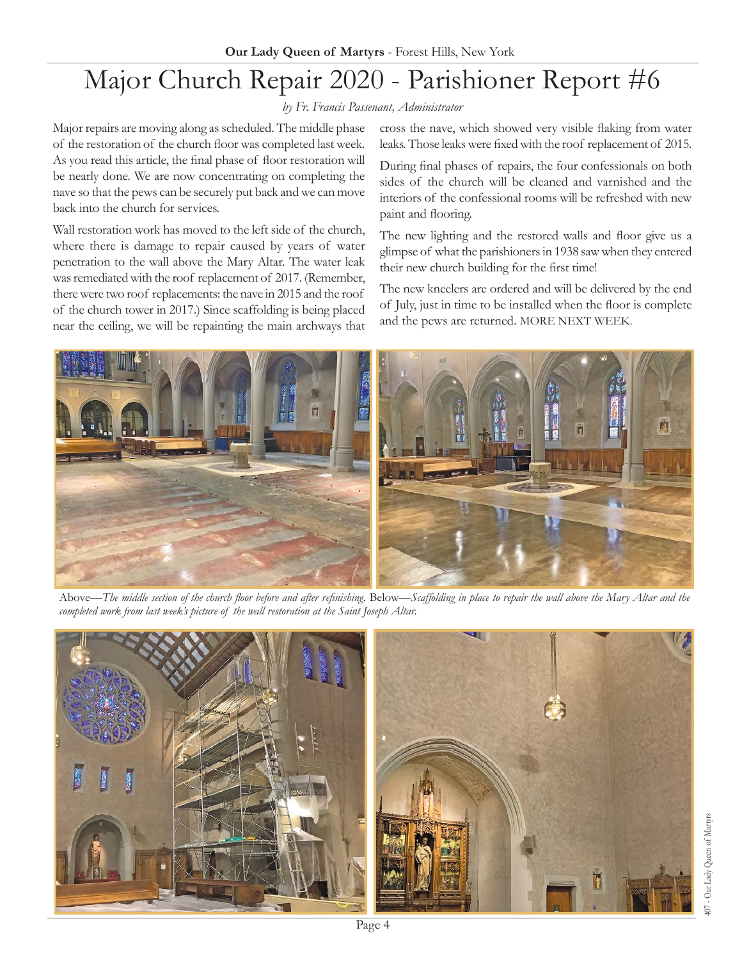# Major Church Repair 2020 - Parishioner Report #6

*by Fr. Francis Passenant, Administrator*

Major repairs are moving along as scheduled. The middle phase of the restoration of the church floor was completed last week. As you read this article, the final phase of floor restoration will be nearly done. We are now concentrating on completing the nave so that the pews can be securely put back and we can move back into the church for services.

Wall restoration work has moved to the left side of the church, where there is damage to repair caused by years of water penetration to the wall above the Mary Altar. The water leak was remediated with the roof replacement of 2017. (Remember, there were two roof replacements: the nave in 2015 and the roof of the church tower in 2017.) Since scaffolding is being placed near the ceiling, we will be repainting the main archways that cross the nave, which showed very visible flaking from water leaks. Those leaks were fixed with the roof replacement of 2015.

During final phases of repairs, the four confessionals on both sides of the church will be cleaned and varnished and the interiors of the confessional rooms will be refreshed with new paint and flooring.

The new lighting and the restored walls and floor give us a glimpse of what the parishioners in 1938 saw when they entered their new church building for the first time!

The new kneelers are ordered and will be delivered by the end of July, just in time to be installed when the floor is complete and the pews are returned. MORE NEXT WEEK.



Above—*The middle section of the church floor before and after refinishing.* Below—*Scaffolding in place to repair the wall above the Mary Altar and the completed work from last week's picture of the wall restoration at the Saint Joseph Altar.* 

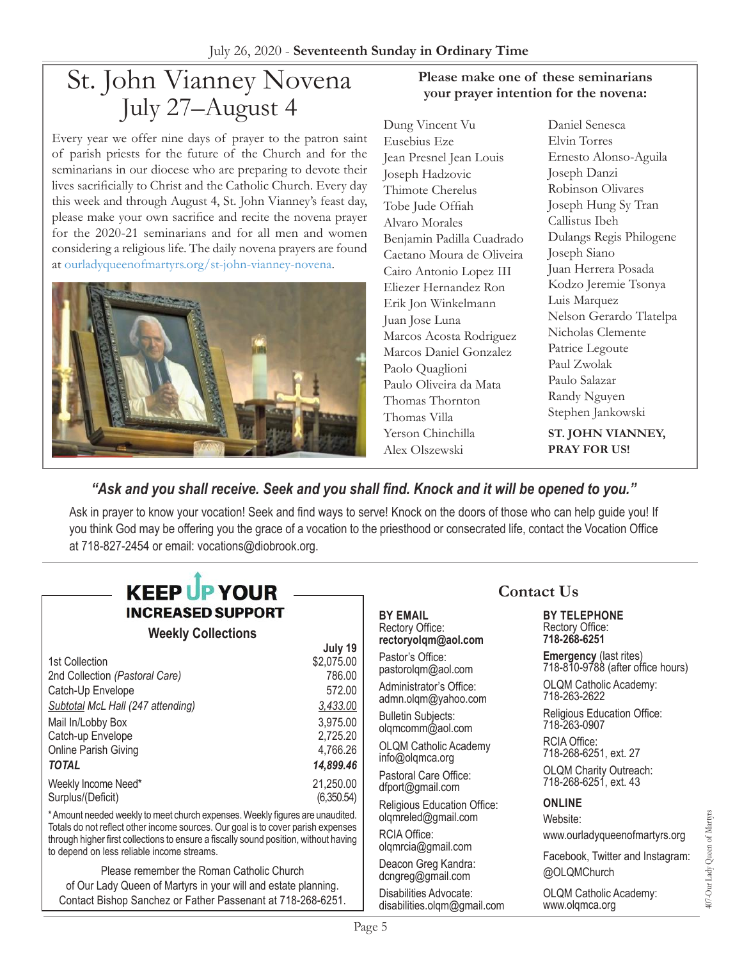# St. John Vianney Novena July 27–August 4

Every year we offer nine days of prayer to the patron saint of parish priests for the future of the Church and for the seminarians in our diocese who are preparing to devote their lives sacrificially to Christ and the Catholic Church. Every day this week and through August 4, St. John Vianney's feast day, please make your own sacrifice and recite the novena prayer for the 2020-21 seminarians and for all men and women considering a religious life. The daily novena prayers are found at [ourladyqueenofmartyrs.org/st-john-vianney-novena.](https://ourladyqueenofmartyrs.org/st-john-vianney-novena/)



#### **Please make one of these seminarians your prayer intention for the novena:**

Dung Vincent Vu Eusebius Eze Jean Presnel Jean Louis Joseph Hadzovic Thimote Cherelus Tobe Jude Offiah Alvaro Morales Benjamin Padilla Cuadrado Caetano Moura de Oliveira Cairo Antonio Lopez III Eliezer Hernandez Ron Erik Jon Winkelmann Juan Jose Luna Marcos Acosta Rodriguez Marcos Daniel Gonzalez Paolo Quaglioni Paulo Oliveira da Mata Thomas Thornton Thomas Villa Yerson Chinchilla Alex Olszewski

Daniel Senesca Elvin Torres Ernesto Alonso-Aguila Joseph Danzi Robinson Olivares Joseph Hung Sy Tran Callistus Ibeh Dulangs Regis Philogene Joseph Siano Juan Herrera Posada Kodzo Jeremie Tsonya Luis Marquez Nelson Gerardo Tlatelpa Nicholas Clemente Patrice Legoute Paul Zwolak Paulo Salazar Randy Nguyen Stephen Jankowski

**ST. JOHN VIANNEY, PRAY FOR US!**

### *"Ask and you shall receive. Seek and you shall find. Knock and it will be opened to you."*

Ask in prayer to know your vocation! Seek and find ways to serve! Knock on the doors of those who can help guide you! If you think God may be offering you the grace of a vocation to the priesthood or consecrated life, contact the Vocation Office at 718-827-2454 or email: [vocations@diobrook.org](mailto:vocations@diobrook.org).

# **KEEP UP YOUR INCREASED SUPPORT**

#### **Weekly Collections**

|                                   | July 19    |
|-----------------------------------|------------|
| 1st Collection                    | \$2,075.00 |
| 2nd Collection (Pastoral Care)    | 786.00     |
| Catch-Up Envelope                 | 572.00     |
| Subtotal McL Hall (247 attending) | 3,433.00   |
| Mail In/Lobby Box                 | 3,975.00   |
| Catch-up Envelope                 | 2,725.20   |
| Online Parish Giving              | 4,766.26   |
| <b>TOTAL</b>                      | 14,899.46  |
| Weekly Income Need*               | 21,250.00  |
| Surplus/(Deficit)                 | (6,350.54) |

\* Amount needed weekly to meet church expenses. Weekly figures are unaudited. Totals do not reflect other income sources. Our goal is to cover parish expenses through higher first collections to ensure a fiscally sound position, without having to depend on less reliable income streams.

Please remember the Roman Catholic Church of Our Lady Queen of Martyrs in your will and estate planning. Contact Bishop Sanchez or Father Passenant at 718-268-6251.

#### **BY EMAIL** Rectory Office:

**rectoryolqm@aol.com** Pastor's Office:

pastorolqm@aol.com

Administrator's Office: admn.olqm@yahoo.com

Bulletin Subjects: olqmcomm@aol.com

OLQM Catholic Academy info@olqmca.org

Pastoral Care Office: dfport@gmail.com

Religious Education Office: olqmreled@gmail.com

RCIA Office: olqmrcia@gmail.com

Deacon Greg Kandra: dcngreg@gmail.com

Disabilities Advocate: disabilities.olqm@gmail.com

### **Contact Us**

#### **BY TELEPHONE** Rectory Office: **718-268-6251**

**Emergency** (last rites) 718-810-9788 (after office hours)

OLQM Catholic Academy: 718-263-2622

Religious Education Office: 718-263-0907

RCIA Office: 718-268-6251, ext. 27 OLQM Charity Outreach: 718-268-6251, ext. 43

#### **ONLINE**

Website: www.ourladyqueenofmartyrs.org

Facebook, Twitter and Instagram: @OLQMChurch

OLQM Catholic Academy: www.olqmca.org